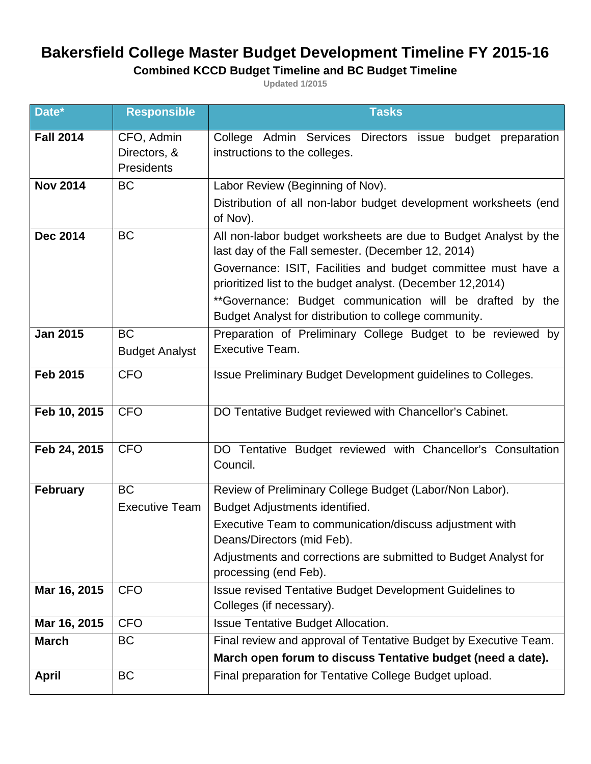## **Bakersfield College Master Budget Development Timeline FY 2015-16**

## **Combined KCCD Budget Timeline and BC Budget Timeline**

**Updated 1/2015**

| Date*            | <b>Responsible</b>    | <b>Tasks</b>                                                                                                                |
|------------------|-----------------------|-----------------------------------------------------------------------------------------------------------------------------|
| <b>Fall 2014</b> | CFO, Admin            | College Admin Services Directors issue budget preparation                                                                   |
|                  | Directors, &          | instructions to the colleges.                                                                                               |
|                  | Presidents            |                                                                                                                             |
| <b>Nov 2014</b>  | <b>BC</b>             | Labor Review (Beginning of Nov).                                                                                            |
|                  |                       | Distribution of all non-labor budget development worksheets (end<br>of Nov).                                                |
| <b>Dec 2014</b>  | <b>BC</b>             | All non-labor budget worksheets are due to Budget Analyst by the                                                            |
|                  |                       | last day of the Fall semester. (December 12, 2014)                                                                          |
|                  |                       | Governance: ISIT, Facilities and budget committee must have a<br>prioritized list to the budget analyst. (December 12,2014) |
|                  |                       | **Governance: Budget communication will be drafted by the<br>Budget Analyst for distribution to college community.          |
| <b>Jan 2015</b>  | <b>BC</b>             | Preparation of Preliminary College Budget to be reviewed by                                                                 |
|                  | <b>Budget Analyst</b> | Executive Team.                                                                                                             |
| <b>Feb 2015</b>  | <b>CFO</b>            | Issue Preliminary Budget Development guidelines to Colleges.                                                                |
|                  |                       |                                                                                                                             |
| Feb 10, 2015     | <b>CFO</b>            | DO Tentative Budget reviewed with Chancellor's Cabinet.                                                                     |
|                  |                       |                                                                                                                             |
| Feb 24, 2015     | <b>CFO</b>            | DO Tentative Budget reviewed with Chancellor's Consultation                                                                 |
|                  |                       | Council.                                                                                                                    |
| <b>February</b>  | <b>BC</b>             | Review of Preliminary College Budget (Labor/Non Labor).                                                                     |
|                  | <b>Executive Team</b> | Budget Adjustments identified.                                                                                              |
|                  |                       | Executive Team to communication/discuss adjustment with                                                                     |
|                  |                       | Deans/Directors (mid Feb).                                                                                                  |
|                  |                       | Adjustments and corrections are submitted to Budget Analyst for                                                             |
|                  |                       | processing (end Feb).                                                                                                       |
| Mar 16, 2015     | <b>CFO</b>            | <b>Issue revised Tentative Budget Development Guidelines to</b><br>Colleges (if necessary).                                 |
| Mar 16, 2015     | <b>CFO</b>            | <b>Issue Tentative Budget Allocation.</b>                                                                                   |
| <b>March</b>     | <b>BC</b>             | Final review and approval of Tentative Budget by Executive Team.                                                            |
|                  |                       | March open forum to discuss Tentative budget (need a date).                                                                 |
| <b>April</b>     | <b>BC</b>             | Final preparation for Tentative College Budget upload.                                                                      |
|                  |                       |                                                                                                                             |